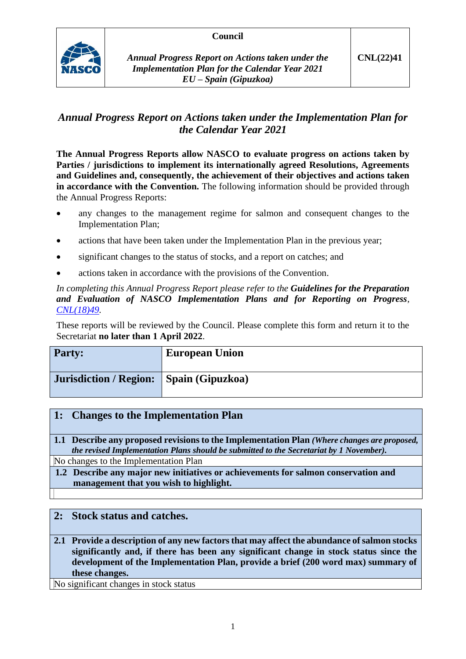

# *Annual Progress Report on Actions taken under the Implementation Plan for*

*the Calendar Year 2021*

**The Annual Progress Reports allow NASCO to evaluate progress on actions taken by Parties / jurisdictions to implement its internationally agreed Resolutions, Agreements and Guidelines and, consequently, the achievement of their objectives and actions taken in accordance with the Convention.** The following information should be provided through the Annual Progress Reports:

- any changes to the management regime for salmon and consequent changes to the Implementation Plan;
- actions that have been taken under the Implementation Plan in the previous year;
- significant changes to the status of stocks, and a report on catches; and
- actions taken in accordance with the provisions of the Convention.

#### *In completing this Annual Progress Report please refer to the Guidelines for the Preparation and Evaluation of NASCO Implementation Plans and for Reporting on Progress, [CNL\(18\)49.](https://nasco.int/wp-content/uploads/2020/02/CNL1849_Guidelines-for-the-Preparation-and-Evaluation-of-NASCO-Implementation-Plans-and-for-Reporting-on-Progress.pdf)*

These reports will be reviewed by the Council. Please complete this form and return it to the Secretariat **no later than 1 April 2022**.

| <b>Party:</b>                             | <b>European Union</b> |
|-------------------------------------------|-----------------------|
| Jurisdiction / Region:   Spain (Gipuzkoa) |                       |

## **1: Changes to the Implementation Plan**

**1.1 Describe any proposed revisions to the Implementation Plan** *(Where changes are proposed, the revised Implementation Plans should be submitted to the Secretariat by 1 November).* No changes to the Implementation Plan

**1.2 Describe any major new initiatives or achievements for salmon conservation and management that you wish to highlight.**

## **2: Stock status and catches.**

**2.1 Provide a description of any new factors that may affect the abundance of salmon stocks significantly and, if there has been any significant change in stock status since the development of the Implementation Plan, provide a brief (200 word max) summary of these changes.**

No significant changes in stock status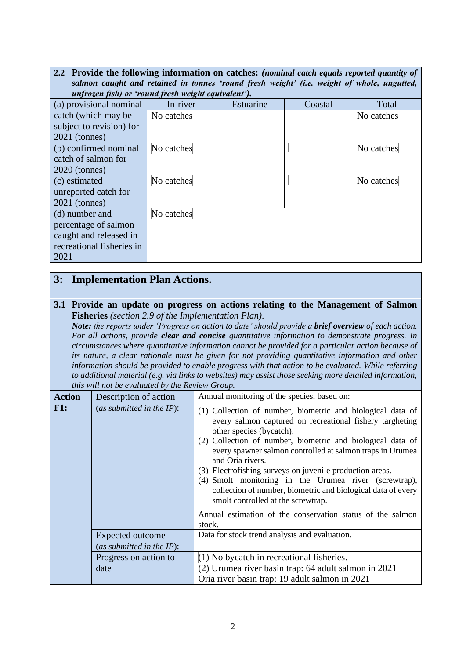| 2.2 Provide the following information on catches: (nominal catch equals reported quantity of<br>salmon caught and retained in tonnes 'round fresh weight' (i.e. weight of whole, ungutted, |            |           |         |            |
|--------------------------------------------------------------------------------------------------------------------------------------------------------------------------------------------|------------|-----------|---------|------------|
| unfrozen fish) or 'round fresh weight equivalent').                                                                                                                                        |            |           |         |            |
| (a) provisional nominal                                                                                                                                                                    | In-river   | Estuarine | Coastal | Total      |
| catch (which may be                                                                                                                                                                        | No catches |           |         | No catches |
| subject to revision) for                                                                                                                                                                   |            |           |         |            |
| $2021$ (tonnes)                                                                                                                                                                            |            |           |         |            |
| (b) confirmed nominal                                                                                                                                                                      | No catches |           |         | No catches |
| catch of salmon for                                                                                                                                                                        |            |           |         |            |
| $2020$ (tonnes)                                                                                                                                                                            |            |           |         |            |
| (c) estimated                                                                                                                                                                              | No catches |           |         | No catches |
| unreported catch for                                                                                                                                                                       |            |           |         |            |
| $2021$ (tonnes)                                                                                                                                                                            |            |           |         |            |
| (d) number and                                                                                                                                                                             | No catches |           |         |            |
| percentage of salmon                                                                                                                                                                       |            |           |         |            |
| caught and released in                                                                                                                                                                     |            |           |         |            |
| recreational fisheries in                                                                                                                                                                  |            |           |         |            |
| 2021                                                                                                                                                                                       |            |           |         |            |

# **3: Implementation Plan Actions.**

#### **3.1 Provide an update on progress on actions relating to the Management of Salmon Fisheries** *(section 2.9 of the Implementation Plan).*

*Note: the reports under 'Progress on action to date' should provide a brief overview of each action. For all actions, provide clear and concise quantitative information to demonstrate progress. In circumstances where quantitative information cannot be provided for a particular action because of its nature, a clear rationale must be given for not providing quantitative information and other information should be provided to enable progress with that action to be evaluated. While referring to additional material (e.g. via links to websites) may assist those seeking more detailed information, this will not be evaluated by the Review Group.*

| <b>Action</b> | Description of action                            | Annual monitoring of the species, based on:                                                                                                                                                                                                                                                                                                                                                                                                                                                                                                                                                          |  |
|---------------|--------------------------------------------------|------------------------------------------------------------------------------------------------------------------------------------------------------------------------------------------------------------------------------------------------------------------------------------------------------------------------------------------------------------------------------------------------------------------------------------------------------------------------------------------------------------------------------------------------------------------------------------------------------|--|
| F1:           | (as submitted in the $IP$ ):                     | (1) Collection of number, biometric and biological data of<br>every salmon captured on recreational fishery targheting<br>other species (bycatch).<br>(2) Collection of number, biometric and biological data of<br>every spawner salmon controlled at salmon traps in Urumea<br>and Oria rivers.<br>(3) Electrofishing surveys on juvenile production areas.<br>(4) Smolt monitoring in the Urumea river (screwtrap),<br>collection of number, biometric and biological data of every<br>smolt controlled at the screwtrap.<br>Annual estimation of the conservation status of the salmon<br>stock. |  |
|               | Expected outcome<br>(as submitted in the $IP$ ): | Data for stock trend analysis and evaluation.                                                                                                                                                                                                                                                                                                                                                                                                                                                                                                                                                        |  |
|               | Progress on action to                            | $(1)$ No bycatch in recreational fisheries.                                                                                                                                                                                                                                                                                                                                                                                                                                                                                                                                                          |  |
|               | date                                             | (2) Urumea river basin trap: 64 adult salmon in 2021                                                                                                                                                                                                                                                                                                                                                                                                                                                                                                                                                 |  |
|               |                                                  | Oria river basin trap: 19 adult salmon in 2021                                                                                                                                                                                                                                                                                                                                                                                                                                                                                                                                                       |  |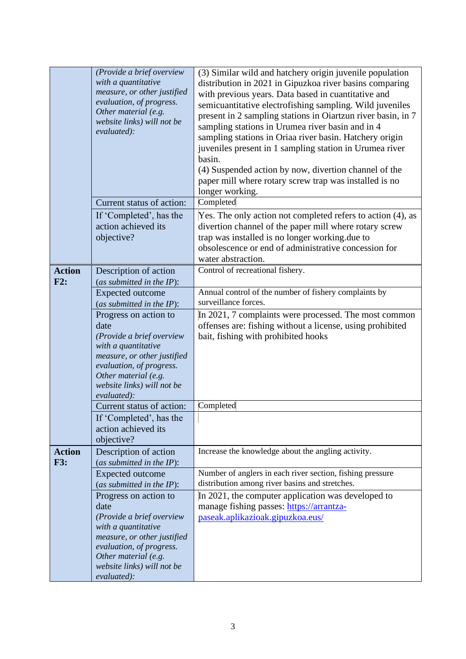|                      | (Provide a brief overview<br>with a quantitative<br>measure, or other justified<br>evaluation, of progress.<br>Other material (e.g.<br>website links) will not be<br>evaluated):                                                                  | (3) Similar wild and hatchery origin juvenile population<br>distribution in 2021 in Gipuzkoa river basins comparing<br>with previous years. Data based in cuantitative and<br>semicuantitative electrofishing sampling. Wild juveniles<br>present in 2 sampling stations in Oiartzun river basin, in 7<br>sampling stations in Urumea river basin and in 4<br>sampling stations in Oriaa river basin. Hatchery origin<br>juveniles present in 1 sampling station in Urumea river<br>basin.<br>(4) Suspended action by now, divertion channel of the<br>paper mill where rotary screw trap was installed is no<br>longer working. |
|----------------------|---------------------------------------------------------------------------------------------------------------------------------------------------------------------------------------------------------------------------------------------------|----------------------------------------------------------------------------------------------------------------------------------------------------------------------------------------------------------------------------------------------------------------------------------------------------------------------------------------------------------------------------------------------------------------------------------------------------------------------------------------------------------------------------------------------------------------------------------------------------------------------------------|
|                      | Current status of action:                                                                                                                                                                                                                         | Completed                                                                                                                                                                                                                                                                                                                                                                                                                                                                                                                                                                                                                        |
|                      | If 'Completed', has the<br>action achieved its<br>objective?                                                                                                                                                                                      | Yes. The only action not completed refers to action (4), as<br>divertion channel of the paper mill where rotary screw<br>trap was installed is no longer working.due to<br>obsolescence or end of administrative concession for<br>water abstraction.                                                                                                                                                                                                                                                                                                                                                                            |
| <b>Action</b><br>F2: | Description of action<br>(as submitted in the $IP$ ):                                                                                                                                                                                             | Control of recreational fishery.                                                                                                                                                                                                                                                                                                                                                                                                                                                                                                                                                                                                 |
|                      | <b>Expected outcome</b><br>(as submitted in the $IP$ ):                                                                                                                                                                                           | Annual control of the number of fishery complaints by<br>surveillance forces.                                                                                                                                                                                                                                                                                                                                                                                                                                                                                                                                                    |
|                      | Progress on action to<br>date<br>(Provide a brief overview<br>with a quantitative<br>measure, or other justified<br>evaluation, of progress.<br>Other material (e.g.<br>website links) will not be<br>evaluated):                                 | In 2021, 7 complaints were processed. The most common<br>offenses are: fishing without a license, using prohibited<br>bait, fishing with prohibited hooks                                                                                                                                                                                                                                                                                                                                                                                                                                                                        |
|                      | Current status of action:                                                                                                                                                                                                                         | Completed                                                                                                                                                                                                                                                                                                                                                                                                                                                                                                                                                                                                                        |
|                      | If 'Completed', has the<br>action achieved its<br>objective?                                                                                                                                                                                      |                                                                                                                                                                                                                                                                                                                                                                                                                                                                                                                                                                                                                                  |
| <b>Action</b>        | Description of action                                                                                                                                                                                                                             | Increase the knowledge about the angling activity.                                                                                                                                                                                                                                                                                                                                                                                                                                                                                                                                                                               |
| <b>F3:</b>           | (as submitted in the $IP$ ):                                                                                                                                                                                                                      |                                                                                                                                                                                                                                                                                                                                                                                                                                                                                                                                                                                                                                  |
|                      | <b>Expected outcome</b>                                                                                                                                                                                                                           | Number of anglers in each river section, fishing pressure<br>distribution among river basins and stretches.                                                                                                                                                                                                                                                                                                                                                                                                                                                                                                                      |
|                      | (as submitted in the $IP$ ):<br>Progress on action to<br>date<br>(Provide a brief overview<br>with a quantitative<br>measure, or other justified<br>evaluation, of progress.<br>Other material (e.g.<br>website links) will not be<br>evaluated): | In 2021, the computer application was developed to<br>manage fishing passes: https://arrantza-<br>paseak.aplikazioak.gipuzkoa.eus/                                                                                                                                                                                                                                                                                                                                                                                                                                                                                               |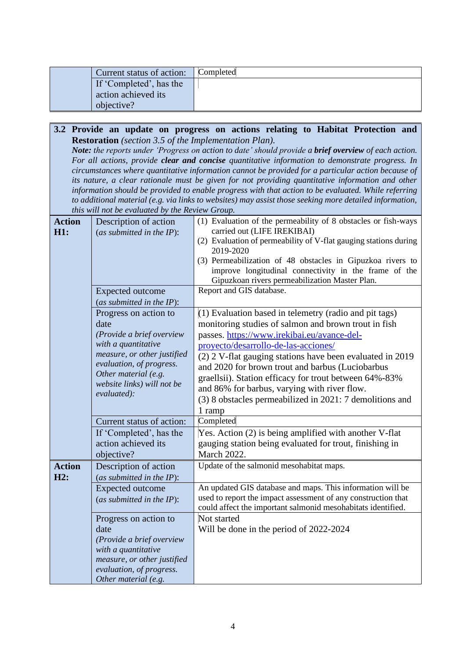| Current status of action: | Completed |
|---------------------------|-----------|
| If 'Completed', has the   |           |
| action achieved its       |           |
| objective?                |           |

#### **3.2 Provide an update on progress on actions relating to Habitat Protection and Restoration** *(section 3.5 of the Implementation Plan).*

*Note: the reports under 'Progress on action to date' should provide a brief overview of each action. For all actions, provide clear and concise quantitative information to demonstrate progress. In circumstances where quantitative information cannot be provided for a particular action because of its nature, a clear rationale must be given for not providing quantitative information and other information should be provided to enable progress with that action to be evaluated. While referring to additional material (e.g. via links to websites) may assist those seeking more detailed information, this will not be evaluated by the Review Group.*

| <b>Action</b><br>H1: | Description of action<br>(as submitted in the $IP$ ):                                                                                                                                                             | (1) Evaluation of the permeability of 8 obstacles or fish-ways<br>carried out (LIFE IREKIBAI)<br>(2) Evaluation of permeability of V-flat gauging stations during<br>2019-2020<br>(3) Permeabilization of 48 obstacles in Gipuzkoa rivers to<br>improve longitudinal connectivity in the frame of the<br>Gipuzkoan rivers permeabilization Master Plan.                                                                                                                                                  |
|----------------------|-------------------------------------------------------------------------------------------------------------------------------------------------------------------------------------------------------------------|----------------------------------------------------------------------------------------------------------------------------------------------------------------------------------------------------------------------------------------------------------------------------------------------------------------------------------------------------------------------------------------------------------------------------------------------------------------------------------------------------------|
|                      | <b>Expected outcome</b><br>(as submitted in the IP):                                                                                                                                                              | Report and GIS database.                                                                                                                                                                                                                                                                                                                                                                                                                                                                                 |
|                      | Progress on action to<br>date<br>(Provide a brief overview<br>with a quantitative<br>measure, or other justified<br>evaluation, of progress.<br>Other material (e.g.<br>website links) will not be<br>evaluated): | $(1)$ Evaluation based in telemetry (radio and pit tags)<br>monitoring studies of salmon and brown trout in fish<br>passes. https://www.irekibai.eu/avance-del-<br>proyecto/desarrollo-de-las-acciones/<br>(2) 2 V-flat gauging stations have been evaluated in 2019<br>and 2020 for brown trout and barbus (Luciobarbus<br>graellsii). Station efficacy for trout between 64%-83%<br>and 86% for barbus, varying with river flow.<br>(3) 8 obstacles permeabilized in 2021: 7 demolitions and<br>1 ramp |
|                      | Current status of action:                                                                                                                                                                                         | Completed                                                                                                                                                                                                                                                                                                                                                                                                                                                                                                |
|                      | If 'Completed', has the<br>action achieved its<br>objective?                                                                                                                                                      | Yes. Action (2) is being amplified with another V-flat<br>gauging station being evaluated for trout, finishing in<br>March 2022.                                                                                                                                                                                                                                                                                                                                                                         |
| <b>Action</b><br>H2: | Description of action<br>(as submitted in the $IP$ ):                                                                                                                                                             | Update of the salmonid mesohabitat maps.                                                                                                                                                                                                                                                                                                                                                                                                                                                                 |
|                      | <b>Expected outcome</b><br>(as submitted in the $IP$ ):                                                                                                                                                           | An updated GIS database and maps. This information will be<br>used to report the impact assessment of any construction that<br>could affect the important salmonid mesohabitats identified.                                                                                                                                                                                                                                                                                                              |
|                      | Progress on action to<br>date<br>(Provide a brief overview<br>with a quantitative<br>measure, or other justified                                                                                                  | Not started<br>Will be done in the period of 2022-2024                                                                                                                                                                                                                                                                                                                                                                                                                                                   |
|                      | evaluation, of progress.<br>Other material (e.g.                                                                                                                                                                  |                                                                                                                                                                                                                                                                                                                                                                                                                                                                                                          |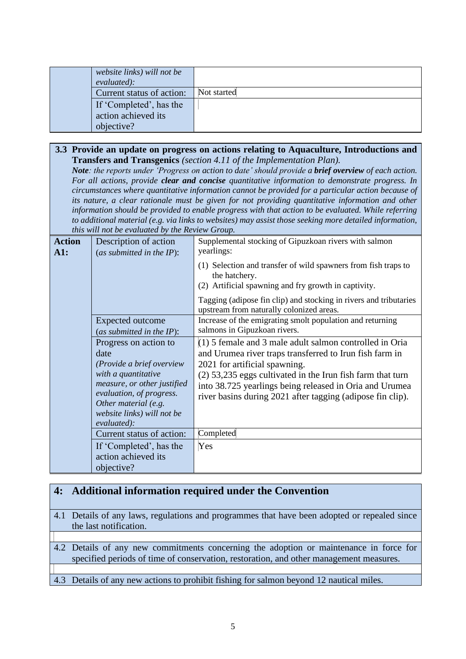| website links) will not be<br>evaluated): |             |
|-------------------------------------------|-------------|
| Current status of action:                 | Not started |
| If 'Completed', has the                   |             |
| action achieved its                       |             |
| objective?                                |             |

#### **3.3 Provide an update on progress on actions relating to Aquaculture, Introductions and Transfers and Transgenics** *(section 4.11 of the Implementation Plan).*

*Note*: the reports under 'Progress on action to date' should provide a **brief overview** of each action. *For all actions, provide clear and concise quantitative information to demonstrate progress. In circumstances where quantitative information cannot be provided for a particular action because of its nature, a clear rationale must be given for not providing quantitative information and other information should be provided to enable progress with that action to be evaluated. While referring to additional material (e.g. via links to websites) may assist those seeking more detailed information, this will not be evaluated by the Review Group.*

| <b>Action</b><br>$\mathbf{A}1$ : | Description of action<br>(as submitted in the $IP$ ):   | Supplemental stocking of Gipuzkoan rivers with salmon<br>yearlings:                                                                     |
|----------------------------------|---------------------------------------------------------|-----------------------------------------------------------------------------------------------------------------------------------------|
|                                  |                                                         | (1) Selection and transfer of wild spawners from fish traps to<br>the hatchery.<br>(2) Artificial spawning and fry growth in captivity. |
|                                  |                                                         | Tagging (adipose fin clip) and stocking in rivers and tributaries<br>upstream from naturally colonized areas.                           |
|                                  | <b>Expected outcome</b><br>(as submitted in the $IP$ ): | Increase of the emigrating smolt population and returning<br>salmons in Gipuzkoan rivers.                                               |
|                                  | Progress on action to                                   | $(1)$ 5 female and 3 male adult salmon controlled in Oria                                                                               |
|                                  | date                                                    | and Urumea river traps transferred to Irun fish farm in                                                                                 |
|                                  | (Provide a brief overview                               | 2021 for artificial spawning.                                                                                                           |
|                                  | with a quantitative                                     | (2) 53,235 eggs cultivated in the Irun fish farm that turn                                                                              |
|                                  | measure, or other justified                             | into 38.725 yearlings being released in Oria and Urumea                                                                                 |
|                                  | evaluation, of progress.                                | river basins during 2021 after tagging (adipose fin clip).                                                                              |
|                                  | Other material (e.g.<br>website links) will not be      |                                                                                                                                         |
|                                  | evaluated):                                             |                                                                                                                                         |
|                                  | Current status of action:                               | Completed                                                                                                                               |
|                                  | If 'Completed', has the                                 | Yes                                                                                                                                     |
|                                  | action achieved its                                     |                                                                                                                                         |
|                                  | objective?                                              |                                                                                                                                         |

# **4: Additional information required under the Convention**

4.1 Details of any laws, regulations and programmes that have been adopted or repealed since the last notification.

4.2 Details of any new commitments concerning the adoption or maintenance in force for specified periods of time of conservation, restoration, and other management measures.

4.3 Details of any new actions to prohibit fishing for salmon beyond 12 nautical miles.